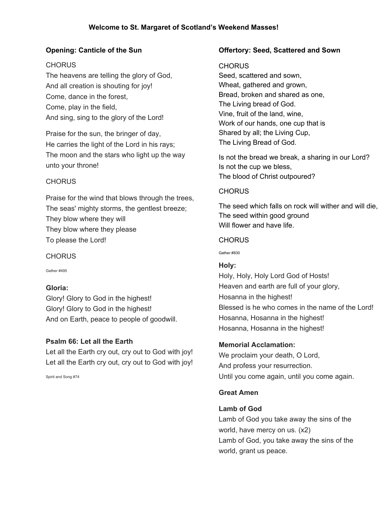# **Opening: Canticle of the Sun**

### **CHORUS**

The heavens are telling the glory of God, And all creation is shouting for joy! Come, dance in the forest, Come, play in the field, And sing, sing to the glory of the Lord!

Praise for the sun, the bringer of day, He carries the light of the Lord in his rays; The moon and the stars who light up the way unto your throne!

## **CHORUS**

Praise for the wind that blows through the trees, The seas' mighty storms, the gentlest breeze; They blow where they will They blow where they please To please the Lord!

### **CHORUS**

Gather #495

# **Gloria:**

Glory! Glory to God in the highest! Glory! Glory to God in the highest! And on Earth, peace to people of goodwill.

### **Psalm 66: Let all the Earth**

Let all the Earth cry out, cry out to God with joy! Let all the Earth cry out, cry out to God with joy!

Spirit and Song #74

### **Offertory: Seed, Scattered and Sown**

### CHORUS

Seed, scattered and sown, Wheat, gathered and grown, Bread, broken and shared as one, The Living bread of God. Vine, fruit of the land, wine, Work of our hands, one cup that is Shared by all; the Living Cup, The Living Bread of God.

Is not the bread we break, a sharing in our Lord? Is not the cup we bless, The blood of Christ outpoured?

## **CHORUS**

The seed which falls on rock will wither and will die, The seed within good ground Will flower and have life.

### **CHORUS**

Gather #830

# **Holy:**

Holy, Holy, Holy Lord God of Hosts! Heaven and earth are full of your glory, Hosanna in the highest! Blessed is he who comes in the name of the Lord! Hosanna, Hosanna in the highest! Hosanna, Hosanna in the highest!

# **Memorial Acclamation:**

We proclaim your death, O Lord, And profess your resurrection. Until you come again, until you come again.

### **Great Amen**

### **Lamb of God**

Lamb of God you take away the sins of the world, have mercy on us. (x2) Lamb of God, you take away the sins of the world, grant us peace.